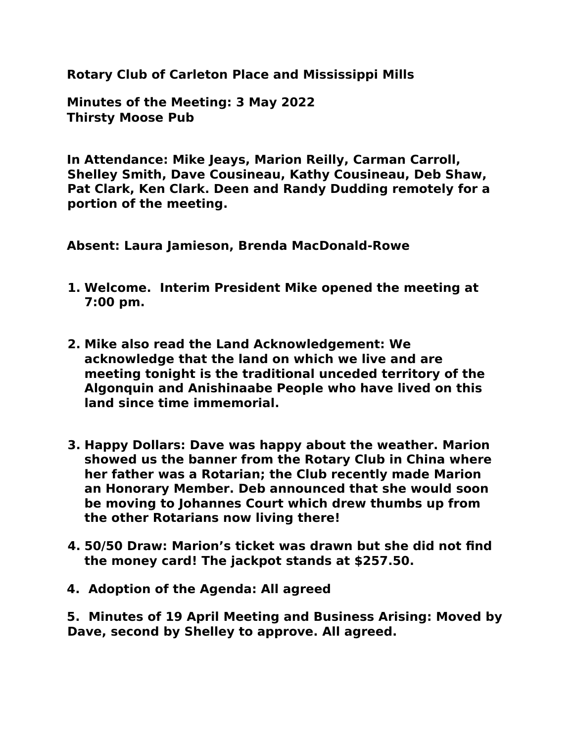**Rotary Club of Carleton Place and Mississippi Mills** 

**Minutes of the Meeting: 3 May 2022 Thirsty Moose Pub**

**In Attendance: Mike Jeays, Marion Reilly, Carman Carroll, Shelley Smith, Dave Cousineau, Kathy Cousineau, Deb Shaw, Pat Clark, Ken Clark. Deen and Randy Dudding remotely for a portion of the meeting.**

**Absent: Laura Jamieson, Brenda MacDonald-Rowe** 

- **1. Welcome. Interim President Mike opened the meeting at 7:00 pm.**
- **2. Mike also read the Land Acknowledgement: We acknowledge that the land on which we live and are meeting tonight is the traditional unceded territory of the Algonquin and Anishinaabe People who have lived on this land since time immemorial.**
- **3. Happy Dollars: Dave was happy about the weather. Marion showed us the banner from the Rotary Club in China where her father was a Rotarian; the Club recently made Marion an Honorary Member. Deb announced that she would soon be moving to Johannes Court which drew thumbs up from the other Rotarians now living there!**
- **4. 50/50 Draw: Marion's ticket was drawn but she did not find the money card! The jackpot stands at \$257.50.**
- **4. Adoption of the Agenda: All agreed**

**5. Minutes of 19 April Meeting and Business Arising: Moved by Dave, second by Shelley to approve. All agreed.**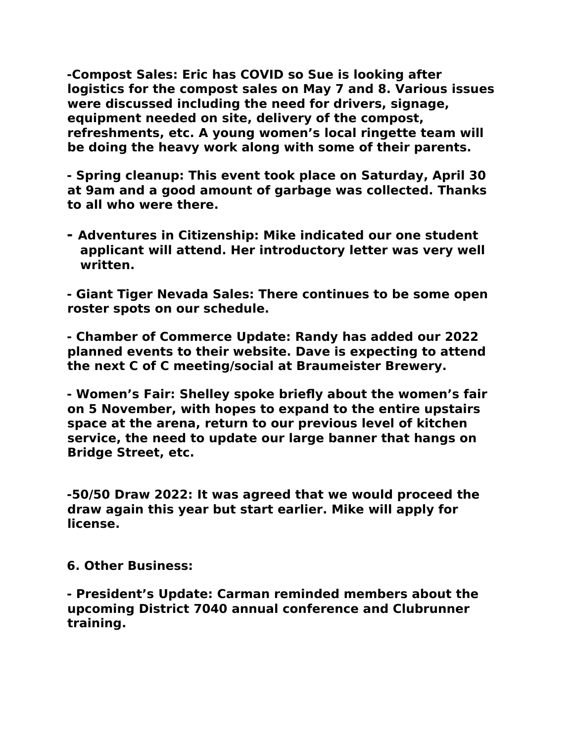**-Compost Sales: Eric has COVID so Sue is looking after logistics for the compost sales on May 7 and 8. Various issues were discussed including the need for drivers, signage, equipment needed on site, delivery of the compost, refreshments, etc. A young women's local ringette team will be doing the heavy work along with some of their parents.** 

**- Spring cleanup: This event took place on Saturday, April 30 at 9am and a good amount of garbage was collected. Thanks to all who were there.** 

**- Adventures in Citizenship: Mike indicated our one student applicant will attend. Her introductory letter was very well written.** 

**- Giant Tiger Nevada Sales: There continues to be some open roster spots on our schedule.** 

**- Chamber of Commerce Update: Randy has added our 2022 planned events to their website. Dave is expecting to attend the next C of C meeting/social at Braumeister Brewery.**

**- Women's Fair: Shelley spoke briefly about the women's fair on 5 November, with hopes to expand to the entire upstairs space at the arena, return to our previous level of kitchen service, the need to update our large banner that hangs on Bridge Street, etc.** 

**-50/50 Draw 2022: It was agreed that we would proceed the draw again this year but start earlier. Mike will apply for license.**

**6. Other Business:** 

**- President's Update: Carman reminded members about the upcoming District 7040 annual conference and Clubrunner training.**